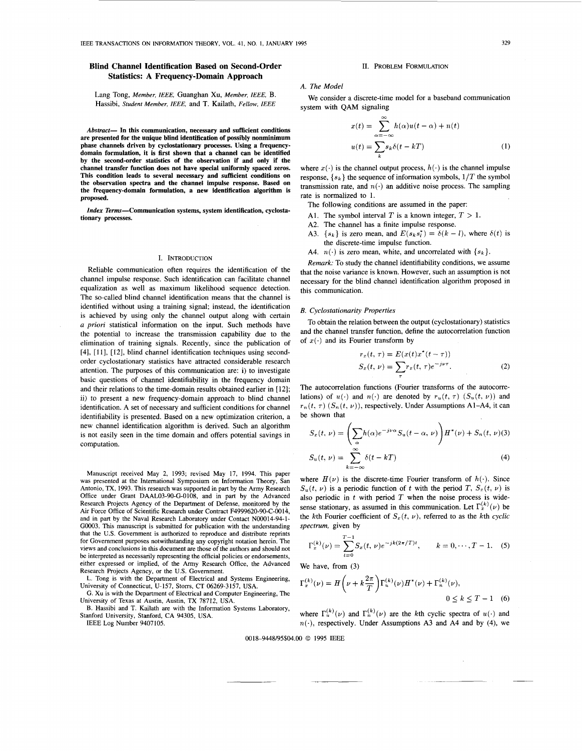# **Blind Channel Identification Based on Second-Order Statistics: A Frequency-Domain Approach**

Lang Tong, *Member, IEEE,* Guanghan Xu, *Member, IEEE,* B. Hassibi, *Student Member, IEEE,* and T. Kailath, *Fellow, IEEE* 

*Abstract-* **In this communication, necessary and sufficient conditions are presented for the unique blind identification of possibly nonminimum phase channels driven by cyclostationary processes. Using a frequencydomain formulation, it is first shown that a channel can be identified by the second-order statistics of the observation if and only if the channel transfer function does not have special uniformly spaced zeros. This condition leads to several necessary and sufficient conditions on the observation spectra and the channel impulse response. Based on the frequency-domain formulation, a new identification algorithm is proposed.** 

*Index* **Terms-Communication systems, system identification, cyclostationary processes.** 

## I. INTRODUCTION

Reliable communication often requires the identification of the channel impulse response. Such identification can facilitate channel equalization as well as maximum likelihood sequence detection. The so-called blind channel identification means that the channel is identified without using a training signal; instead, the identification is achieved by using only the channel output along with certain *a priori* statistical information on the input. Such methods have the potential to increase the transmission capability due to the elimination of training signals. Recently, since the publication of [4], [I 1 J, **[12],** blind channel identification techniques using secondorder cyclostationary statistics have attracted considerable research attention. The purposes of this communication are: i) to investigate basic questions of channel identifiability in the frequency domain and their relations to the time-domain results obtained earlier in [ 121; ii) to present a new frequency-domain approach to blind channel identification. A set of necessary and sufficient conditions for channel identifiability is presented. Based on a new optimization criterion, a new channel identification algorithm is derived. Such an algorithm is not easily seen in the time domain and offers potential savings in computation.

Manuscript received May *2,* 1993; revised May 17, 1994. This paper was presented at the International Symposium on Information Theory, San Antonio, **TX,** 1993. This research was supported in part by the Army Research Office under Grant DAAL03-90-G-0108, and in part by the Advanced Research Projects Agency of the Department of Defense, monitored by the Air Force Office of Scientific Research under Contract F4999620-90-C-0014, and in part by the Naval Research Laboratory under Contact N00014-94-1- *G0003.* This manuscript is submitted for publication with the understanding that the US. Government is authorized to reproduce and distribute reprints for Government purposes notwithstanding any copyright notation herein. The views and conclusions in this document are those of the authors and should not be interpreted as necessarily representing the official policies or endorsements, either expressed or implied, of the Army Research Office, the Advanced Research Projects Agency, **or** the U.S. Government.

L. Tong is with the Department of Electrical and Systems Engineering, University of Connecticut, U-157, Storrs, CT 06269-3157, USA.

*G.* Xu is with the Department of Electrical and Computer Engineering, The University of Texas at Austin, Austin, TX 78712, USA.

**B.** Hassibi and T. Kailath are with the Information Systems Laboratory, Stanford University, Stanford, CA 94305, USA.

IEEE Log Number 9407105.

### 11. PROBLEM FORMULATION

## **A.** *The Model*

We consider a discrete-time model for a baseband communication system with QAM signaling

$$
x(t) = \sum_{\alpha = -\infty}^{\infty} h(\alpha)u(t - \alpha) + n(t)
$$
  

$$
u(t) = \sum_{k} s_k \delta(t - kT)
$$
 (1)

where  $x(\cdot)$  is the channel output process,  $h(\cdot)$  is the channel impulse response,  $\{s_k\}$  the sequence of information symbols,  $1/T$  the symbol transmission rate, and  $n(\cdot)$  an additive noise process. The sampling rate is normalized to 1.

The following conditions are assumed in the paper:

- A1. The symbol interval *T* is a known integer,  $T > 1$ .
- A2. The channel has a finite impulse response.
- A3.  $\{s_k\}$  is zero mean, and  $E(s_k s_l^*) = \delta(k l)$ , where  $\delta(t)$  is the discrete-time impulse function.
- A4.  $n(\cdot)$  is zero mean, white, and uncorrelated with  $\{s_k\}$ .

*Remark:* To study the channel identifiability conditions, we assume that the noise variance is known. However, such an assumption is not necessary for the blind channel identification algorithm proposed in this communication.

### *B. Cyclostationarity Properties*

To obtain the relation between the output (cyclostationary) statistics and the channel transfer function, define the autocorrelation function of  $x(\cdot)$  and its Fourier transform by

$$
r_x(t, \tau) = E(x(t)x^*(t-\tau))
$$
  
\n
$$
S_x(t, \nu) = \sum r_x(t, \tau)e^{-j\nu\tau}.
$$
 (2)

The autocorrelation functions (Fourier transforms of the autocorrelations) of  $u(\cdot)$  and  $n(\cdot)$  are denoted by  $r_u(t, \tau)$  ( $S_u(t, \nu)$ ) and  $r_n(t, \tau)$  ( $S_n(t, \nu)$ ), respectively. Under Assumptions A1–A4, it can be shown that

$$
S_x(t, \nu) = \left(\sum_{\alpha} h(\alpha)e^{-j\nu\alpha} S_u(t - \alpha, \nu)\right) H^*(\nu) + S_n(t, \nu)
$$
\n
$$
S_u(t, \nu) = \sum_{k=-\infty}^{\infty} \delta(t - kT) \tag{4}
$$

where  $H(\nu)$  is the discrete-time Fourier transform of  $h(\cdot)$ . Since  $S_u(t, \nu)$  is a periodic function of t with the period *T*,  $S_x(t, \nu)$  is also periodic in  $t$  with period  $T$  when the noise process is widesense stationary, as assumed in this communication. Let  $\Gamma_x^{(k)}(\nu)$  be the kth Fourier coefficient of  $S_x(t, \nu)$ , referred to as the kth *cyclic spectrum,* given by

$$
\Gamma_x^{(k)}(\nu) = \sum_{t=0}^{T-1} S_x(t, \nu) e^{-jk(2\pi/T)t}, \qquad k = 0, \cdots, T-1.
$$
 (5)

We have, from (3)

$$
\Gamma_x^{(k)}(\nu) = H\left(\nu + k\frac{2\pi}{T}\right) \Gamma_u^{(k)}(\nu) H^*(\nu) + \Gamma_n^{(k)}(\nu),
$$
  
0 \le k \le T - 1 (6)

where  $\Gamma_u^{(k)}(\nu)$  and  $\Gamma_n^{(k)}(\nu)$  are the kth cyclic spectra of  $u(\cdot)$  and  $n(\cdot)$ , respectively. Under Assumptions A3 and A4 and by (4), we

0018-9448/95\$04.00 @ 1995 IEEE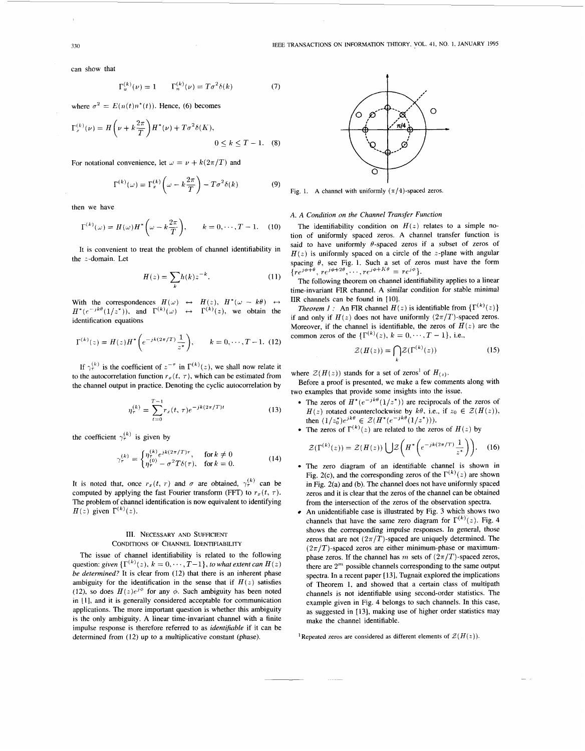can show that

$$
\Gamma_u^{(k)}(\nu) = 1 \qquad \Gamma_n^{(k)}(\nu) = T\sigma^2 \delta(k) \tag{7}
$$

where  $\sigma^2 = E(n(t)n^*(t))$ . Hence, (6) becomes

$$
\Gamma_r^{(k)}(\nu) = H\left(\nu + k\frac{2\pi}{T}\right)H^*(\nu) + T\sigma^2\delta(K),
$$
  
0 \le k \le T - 1. (8)

For notational convenience, let  $\omega = \nu + k(2\pi/T)$  and

$$
\Gamma^{(k)}(\omega) = \Gamma_x^{(k)}\left(\omega - k\frac{2\pi}{T}\right) - T\sigma^2\delta(k) \tag{9}
$$

then we have

$$
\Gamma^{(k)}(\omega) = H(\omega)H^*\left(\omega - k\frac{2\pi}{T}\right), \qquad k = 0, \cdots, T-1. \quad (10)
$$

It is convenient to treat the problem of channel identifiability in the  $z$ -domain. Let

$$
H(z) = \sum_{k} h(k) z^{-k}.
$$
 (11)

With the correspondences  $H(\omega) \leftrightarrow H(z)$ ,  $H^*(\omega - k\theta) \leftrightarrow$  $H^*(e^{-jk\theta}(1/z^*))$ , and  $\Gamma^{(k)}(\omega) \leftrightarrow \Gamma^{(k)}(z)$ , we obtain the identification equations

$$
\Gamma^{(k)}(z) = H(z)H^*\left(e^{-jk(2\pi/T)}\frac{1}{z^*}\right), \qquad k = 0, \cdots, T-1.
$$
 (12)

If  $\gamma_r^{(k)}$  is the coefficient of  $z^{-\tau}$  in  $\Gamma^{(k)}(z)$ , we shall now relate it to the autocorrelation function  $r_x(t, \tau)$ , which can be estimated from the channel output in practice. Denoting the cyclic autocorrelation by

$$
\eta_{\tau}^{(k)} = \sum_{t=0}^{T-1} r_x(t, \tau) e^{-jk(2\pi/T)t}
$$
\n(13)

the coefficient  $\gamma_r^{(k)}$  is given by

$$
\gamma_r^{(k)} = \begin{cases} \eta_r^{(k)} e^{jk(2\pi/T)\tau}, & \text{for } k \neq 0\\ \eta_r^{(0)} - \sigma^2 T \delta(\tau), & \text{for } k = 0. \end{cases}
$$
(14)

It is noted that, once  $r_x(t, \tau)$  and  $\sigma$  are obtained,  $\gamma_r^{(k)}$  can be computed by applying the fast Fourier transform (FFT) to  $r_x(t, \tau)$ . The problem of channel identification is now equivalent to identifying  $H(z)$  given  $\Gamma^{(k)}(z)$ .

## 111. **NECESSARY AND SUFFICIENT CONDITIONS OF CHANNEL IDENTIFIABILITY**

The issue of channel identifiability is related to the following question:  $given$   $\{\Gamma^{(k)}(z),$   $k=0,\cdots,T-1\},$   $to$   $what$   $ext{ent}\ can$   $H(z)$ *be determined?* It is clear from (12) that there **is** an inherent phase ambiguity for the identification in the sense that if  $H(z)$  satisfies (12), so does  $H(z)e^{j\phi}$  for any  $\phi$ . Such ambiguity has been noted in [I], and it is generally considered acceptable for communication applications. The more important question is whether this ambiguity is the only ambiguity. A linear time-invariant channel with a finite impulse response is therefore referred to as *identifiable* if it can be determined from (12) up to a multiplicative constant (phase).



Fig. 1. A channel with uniformly  $(\pi/4)$ -spaced zeros.

## *A. A Condition on the Channel Transfer Function*

The identifiability condition on  $H(z)$  relates to a simple notion of uniformly spaced zeros. **A** channel transfer function is said to have uniformly  $\theta$ -spaced zeros if a subset of zeros of  $H(z)$  is uniformly spaced on a circle of the z-plane with angular spacing  $\theta$ , see Fig. 1. Such a set of zeros must have the form  ${r e^{j\phi+\theta}, r e^{j\phi+2\theta}, \cdots, r e^{j\phi+K\theta} = r e^{j\phi}}.$ 

The following theorem on channel identifiability applies to a linear time-invariant FIR channel. **A** similar condition for stable minimal IIR channels can be found in [10].

*Theorem 1 :* An FIR channel  $H(z)$  is identifiable from  $\{\Gamma^{(k)}(z)\}$ if and only if  $H(z)$  does not have uniformly  $(2\pi/T)$ -spaced zeros. Moreover, if the channel is identifiable, the zeros of  $H(z)$  are the common zeros of the  $\{\Gamma^{(k)}(z), k = 0, \dots, T - 1\}$ , i.e.,

$$
\mathcal{Z}(H(z)) = \bigcap_{k} \mathcal{Z}(\Gamma^{(k)}(z))
$$
 (15)

where  $\mathcal{Z}(H(z))$  stands for a set of zeros<sup>1</sup> of  $H(z)$ .

two examples that provide some insights into the issue. Before a proof is presented, we make a few comments along with

- The zeros of  $H^*(e^{-jk\theta}(1/z^*))$  are reciprocals of the zeros of  $H(z)$  rotated counterclockwise by  $k\theta$ , i.e., if  $z_0 \in \mathcal{Z}(H(z))$ , then  $(1/z_0^*)e^{jk\theta} \in \mathcal{Z}(H^*(e^{-jk\theta}(1/z^*))).$
- The zeros of  $\Gamma^{(k)}(z)$  are related to the zeros of  $H(z)$  by

$$
\mathcal{Z}(\Gamma^{(k)}(z)) = \mathcal{Z}(H(z)) \bigcup \mathcal{Z}\bigg(H^*\bigg(e^{-jk(2\pi/T)}\frac{1}{z^*}\bigg)\bigg). \quad (16)
$$

- The zero diagram of an identifiable channel is shown in Fig. 2(c), and the corresponding zeros of the  $\Gamma^{(k)}(z)$  are shown in Fig. 2(a) and (b). The channel does not have uniformly spaced zeros and it is clear that the zeros of the channel can be obtained from the intersection of the zeros of the observation spectra.
- An unidentifiable case is illustrated by Fig. 3 which shows two channels that have the same zero diagram for  $\Gamma^{(k)}(z)$ . Fig. 4 shows the corresponding impulse responses. In general, those zeros that are not  $(2\pi/T)$ -spaced are uniquely determined. The  $(2\pi/T)$ -spaced zeros are either minimum-phase or maximumphase zeros. If the channel has  $m$  sets of  $(2\pi/T)$ -spaced zeros, there are  $2<sup>m</sup>$  possible channels corresponding to the same output spectra. In a recent paper [13], Tugnait explored the implications of Theorem 1, and showed that a certain class of multipath channels is not identifiable using second-order statistics. The example given in Fig. 4 belongs to such channels. In this case, as suggested in [13], making use of higher order statistics may make the channel identifiable.

<sup>1</sup>Repeated zeros are considered as different elements of  $\mathcal{Z}(H(z))$ .

<span id="page-1-0"></span>330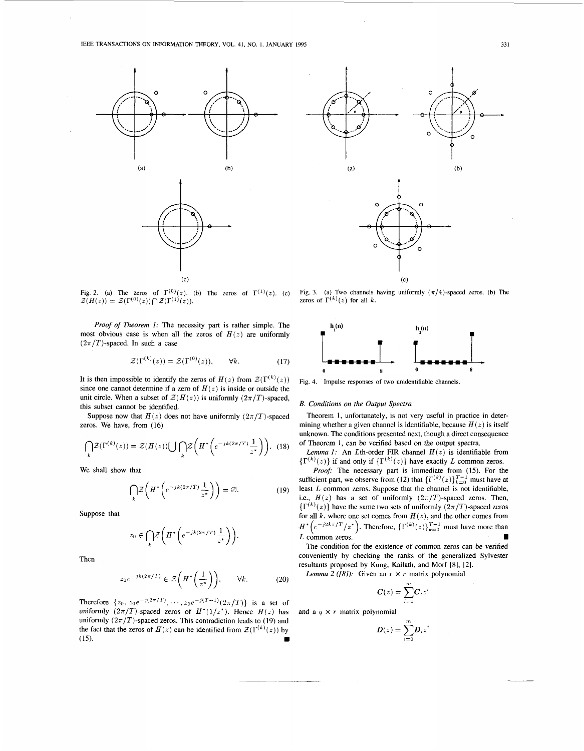



**Fig. 2.** (a) The zeros of  $\Gamma^{(0)}(z)$ . (b) The zeros of  $\Gamma^{(1)}(z)$ . (c) Fig. 3. (a) Two channels having uniformly  $(\pi/4)$ -spaced zeros. (b) The  $Z(H(z)) = Z(\Gamma^{(0)}(z)) \cap Z(\Gamma^{(1)}(z)).$  **zeros** of  $\Gamma^{(k)}(z)$  for all *k*.

*Proof of Theorem 1:* The necessity part is rather simple. The most obvious case is when all the zeros of  $H(z)$  are uniformly  $(2\pi/T)$ -spaced. In such a case

$$
\mathcal{Z}(\Gamma^{(k)}(z)) = \mathcal{Z}(\Gamma^{(0)}(z)), \qquad \forall k. \tag{17}
$$

It is then impossible to identify the zeros of  $H(z)$  from  $\mathcal{Z}(\Gamma^{(k)}(z))$ since one cannot determine if a zero of  $H(z)$  is inside or outside the unit circle. When a subset of  $\mathcal{Z}(H(z))$  is uniformly  $(2\pi/T)$ -spaced, this subset cannot be identified.

Suppose now that  $H(z)$  does not have uniformly  $(2\pi/T)$ -spaced zeros. We have, from (16)

$$
\bigcap_{k} \mathcal{Z}(\Gamma^{(k)}(z)) = \mathcal{Z}(H(z)) \bigcup_{k} \bigcap_{k} \mathcal{Z}\bigg(H^* \bigg(e^{-jk(2\pi/T)} \frac{1}{z^*}\bigg)\bigg). \tag{18}
$$

We shall show that

$$
\bigcap_{k} \mathcal{Z}\left(H^*\left(e^{-jk(2\pi/T)}\frac{1}{z^*}\right)\right) = \varnothing. \tag{19}
$$

Suppose that

$$
z_0 \in \bigcap_k \mathcal{Z}\bigg(H^*\bigg(e^{-jk(2\pi/T)}\frac{1}{z^*}\bigg)\bigg).
$$

Then

$$
z_0 e^{-jk(2\pi/T)} \in \mathcal{Z}\left(H^*\left(\frac{1}{z^*}\right)\right), \qquad \forall k. \tag{20}
$$
 *Lemma 2 (81): Given an  $r \times r$  matrix polynomial*

Therefore  $\{z_0, z_0e^{-j(2\pi/T)}, \dots, z_0e^{-j(T-1)}(2\pi/T)\}$  is a set of uniformly  $(2\pi/T)$ -spaced zeros of  $H^*(1/z^*)$ . Hence  $H(z)$  has uniformly  $(2\pi/T)$ -spaced zeros. This contradiction leads to (19) and the fact that the zeros of  $H(z)$  can be identified from  $\mathcal{Z}(\Gamma^{(k)}(z))$  by **(15).**  $i=0$ 





**[Fig.](#page-1-0) 4. Impulse responses of two unidentifiable channels.** 

## *B. Conditions on the Output Spectra*

Theorem 1, unfortunately, is not very useful in practice in determining whether a given channel is identifiable, because  $H(z)$  is itself unknown. The conditions presented next, though a direct consequence of Theorem **1,** can be verified based on the output spectra.

*Lemma 1:* An *L*th-order **FIR** channel  $H(z)$  is identifiable from  ${ {\Gamma^{(k)}(z) } }$  if and only if  ${ {\Gamma^{(k)}(z) } }$  have exactly *L* common zeros.

*Proof:* The necessary part is immediate from (15). For the sufficient part, we observe from (12) that  $\{\Gamma^{(k)}(z)\}_{k=0}^{T-1}$  must have at least *L* common zeros. Suppose that the channel is not identifiable, i.e.,  $H(z)$  has a set of uniformly  $(2\pi/T)$ -spaced zeros. Then,  ${ {\Gamma ^{(k)}}(z)}$  have the same two sets of uniformly  ${(2\pi /T)}$ -spaced zeros for all  $k$ , where one set comes from  $H(z)$ , and the other comes from  $H^*$  $\left(e^{-j2k\pi/T}/z^*\right)$ . Therefore,  $\{\Gamma^{(k)}(z)\}_{k=0}^{T-1}$  must have more than *L* common zeros.

The condition for the existence of common zeros can be verified conveniently by checking the ranks of the generalized Sylvester resultants proposed by Kung, Kailath, and Morf **[8],** [2].

$$
\boldsymbol{C}(z) = \sum_{i=0}^m \boldsymbol{C}_i z^i
$$

and a  $q \times r$  matrix polynomial

$$
\boldsymbol{D}(z) = \sum_{i=0}^{m} \boldsymbol{D}_i z^i
$$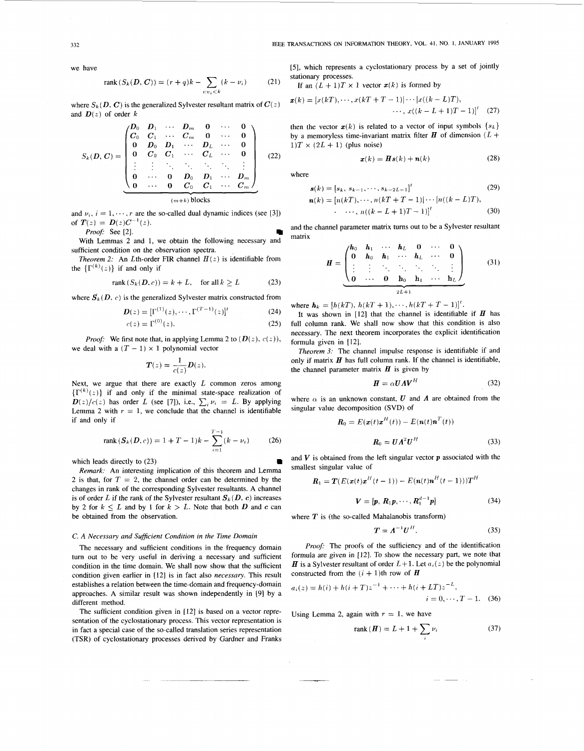**332 IEEE TRANSACTIONS ON INFORMATION THEORY, VOL. 41, NO. 1, JANUARY 1995** 

we have

rank 
$$
(S_k(D, C)) = (r + q)k - \sum_{i:v_i < k} (k - \nu_i)
$$
 (21)

where  $S_k(D, C)$  is the generalized Sylvester resultant matrix of  $C(z)$ and  $\mathbf{D}(z)$  of order k

$$
S_k(D, C) = \begin{pmatrix} D_0 & D_1 & \cdots & D_m & 0 & \cdots & 0 \\ C_0 & C_1 & \cdots & C_m & 0 & \cdots & 0 \\ 0 & D_0 & D_1 & \cdots & D_L & \cdots & 0 \\ 0 & C_0 & C_1 & \cdots & C_L & \cdots & 0 \\ \vdots & \vdots & \ddots & \ddots & \ddots & \vdots & \vdots \\ 0 & \cdots & 0 & D_0 & D_1 & \cdots & D_m \\ 0 & \cdots & 0 & C_0 & C_1 & \cdots & C_m \end{pmatrix}
$$
 (22)

and  $\nu_i$ ,  $i = 1, \dots, r$  are the so-called dual dynamic indices (see [3]) of  $T(z) = D(z)C^{-1}(z)$ .<br>**Proof:** See [2]

*Pro08* See [2].

With Lemmas 2 and 1, we obtain the following necessary and sufficient condition on the observation spectra.

*Theorem 2:* An *L*th-order FIR channel  $H(z)$  is identifiable from the  $\{\Gamma^{(k)}(z)\}\$  if and only if

$$
rank(S_k(D, c)) = k + L, \quad \text{for all } k \ge L \tag{23}
$$

where  $S_k(D, c)$  is the generalized Sylvester matrix constructed from

$$
D(z) = [\Gamma^{(1)}(z), \cdots, \Gamma^{(T-1)}(z)]^t
$$
 (24)  

$$
c(z) = \Gamma^{(0)}(z).
$$
 (25)

*Proof:* We first note that, in applying Lemma 2 to  $(D(z), c(z))$ , we deal with a  $(T - 1) \times 1$  polynomial vector

$$
\boldsymbol{T}(z) = \frac{1}{c(z)} \boldsymbol{D}(z).
$$

Next, we argue that there are exactly *L* common zeros among  ${r(k)(z)}$  if and only if the minimal state-space realization of  $D(z)/c(z)$  has order *L* (see [7]), i.e.,  $\sum_i \nu_i = L$ . By applying Lemma 2 with  $r = 1$ , we conclude that the channel is identifiable if and only if

rank 
$$
(S_k(D, c)) = 1 + T - 1)k - \sum_{i=1}^{T-1} (k - \nu_i)
$$
 (26)

which leads directly to (23)

*Remark:* An interesting implication of this theorem and Lemma 2 is that, for  $T = 2$ , the channel order can be determined by the changes in rank of the corresponding Sylvester resultants. A channel is of order *L* if the rank of the Sylvester resultant  $S_k(D, c)$  increases by 2 for  $k \leq L$  and by 1 for  $k > L$ . Note that both *D* and *c* can be obtained from the observation.

#### *C. A Necessury and SufJicient Condition in the Time Domain*

The necessary and sufficient conditions in the frequency domain turn out to be very useful in deriving a necessary and sufficient condition in the time domain. We shall now show that the sufficient condition given earlier in [12] is in fact also *necessary.* This result establishes a relation between the time-domain and frequency-domain approaches. A similar result was shown independently in [9] by a different method.

The sufficient condition given in [12] is based on a vector representation of the cyclostationary process. This vector representation is in fact a special case of the so-called translation series representation (TSR) of cyclostationary processes derived by Gardner and Franks [5], which represents a cyclostationary process by a set of jointly stationary processes.

If an 
$$
(L+1)T \times 1
$$
 vector  $x(k)$  is formed by

$$
\mathbf{x}(k) = \left[x(kT), \cdots, x(kT+T-1)\right] \cdots \left[x((k-L)T), \cdots, x((k-L+1)T-1)\right]^\prime \tag{27}
$$

then the vector  $x(k)$  is related to a vector of input symbols  $\{s_k\}$ by a memoryless time-invariant matrix filter  $\bm{H}$  of dimension  $(L +$  $1)T \times (2L + 1)$  (plus noise)

$$
\mathbf{r}(k) = \mathbf{H}\mathbf{s}(k) + \mathbf{n}(k) \tag{28}
$$

where

$$
\mathbf{s}(k) = [s_k, s_{k-1}, \cdots, s_{k-2L-1}]^t \tag{29}
$$
  

$$
\mathbf{n}(k) = [n(kT), \cdots, n(kT + T - 1)] \cdots |n((k - L)T),
$$
  

$$
\cdots, n((k - L + 1)T - 1)]^t \tag{30}
$$

and the channel parameter matrix turns out to be a Sylvester resultant matrix

$$
H = \begin{pmatrix} h_0 & h_1 & \cdots & h_L & 0 & \cdots & 0 \\ 0 & h_0 & h_1 & \cdots & h_L & \cdots & 0 \\ \vdots & \vdots & \ddots & \ddots & \ddots & \vdots \\ 0 & \cdots & 0 & h_0 & h_1 & \cdots & h_L \end{pmatrix}
$$
 (31)

where  $h_k = [h(kT), h(kT+1),...,h(kT+T-1)]^t$ .

It was shown in [12] that the channel is identifiable if  $H$  has full column rank. We shall now show that this condition is also necessary. The next theorem incorporates the explicit identification formula given in [12].

*Theorem 3:* The channel impulse response is identifiable if and only if matrix  $H$  has full column rank. If the channel is identifiable, the channel parameter matrix  $H$  is given by

$$
\boldsymbol{H} = \alpha \boldsymbol{U} \boldsymbol{\Lambda} \boldsymbol{V}^H \tag{32}
$$

where  $\alpha$  is an unknown constant, *U* and *A* are obtained from the singular value decomposition (SVD) of

$$
\mathbf{R}_0 = E(\mathbf{x}(t)\mathbf{x}^H(t)) - E(\mathbf{n}(t)\mathbf{n}^T(t))
$$

$$
\mathbf{R}_0 = \mathbf{U}\mathbf{\Lambda}^2 \mathbf{U}^H
$$
(33)

and *V* is obtained from the left singular vector *p* associated with the smallest singular value of

$$
\mathbf{R}_1 = \mathbf{T}(E(\mathbf{x}(t)\mathbf{x}^H(t-1)) - E(\mathbf{n}(t)\mathbf{n}^H(t-1)))\mathbf{T}^H
$$

$$
\boldsymbol{V} = [\boldsymbol{p}, \boldsymbol{R}_1 \boldsymbol{p}, \cdots, \boldsymbol{R}_1^{d-1} \boldsymbol{p}] \tag{34}
$$

where  $T$  is (the so-called Mahalanobis transform)

$$
T = A^{-1}U^H.
$$
 (35)

Proof: The proofs of the sufficiency and of the identification formula are given in [12]. To show the necessary part, we note that **H** is a Sylvester resultant of order  $L+1$ . Let  $a_i(z)$  be the polynomial constructed from the  $(i + 1)$ th row of **H** 

$$
a_i(z) = h(i) + h(i+T)z^{-1} + \dots + h(i+LT)z^{-L},
$$
  
\n
$$
i = 0, \dots, T-1.
$$
 (36)

Using Lemma 2, again with  $r = 1$ , we have

$$
rank(\boldsymbol{H}) = L + 1 + \sum_{i} \nu_i \tag{37}
$$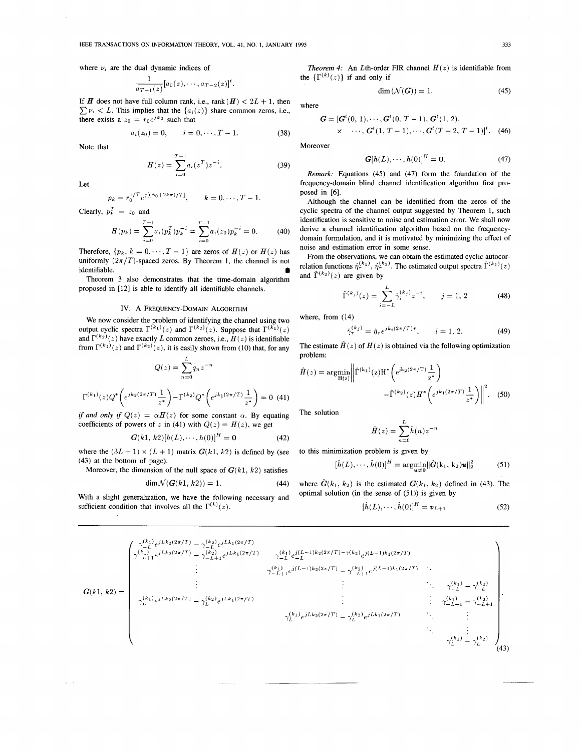where  $\nu_i$  are the dual dynamic indices of

$$
\frac{1}{a_{T-1}(z)}[a_0(z),\cdots,a_{T-2}(z)]^t.
$$

If *H* does not have full column rank, i.e., rank  $(H) < 2L + 1$ , then  $\sum \nu_i < L$ . This implies that the  $\{a_i(z)\}\$  share common zeros, i.e., there exists a  $z_0 = r_0 e^{j\phi_0}$  such that

$$
a_i(z_0) = 0, \qquad i = 0, \cdots, T - 1.
$$
 (38)

Note that

$$
H(z) = \sum_{i=0}^{T-1} a_i (z^T) z^{-i}.
$$
 (39)

Let

$$
p_k = r_0^{1/T} e^{j[(\phi_0 + 2k\pi)/T]},
$$
  $k = 0, \cdots, T-1.$ 

Clearly,  $p_k^T = z_0$  and

$$
H(p_k) = \sum_{i=0}^{T-1} a_i(p_k^T) p_k^{-i} = \sum_{i=0}^{T-1} a_i(z_0) p_k^{-i} = 0.
$$
 (40)

Therefore,  $\{p_k, k = 0, \dots, T-1\}$  are zeros of  $H(z)$  or  $H(z)$  has uniformly  $(2\pi/T)$ -spaced zeros. By Theorem 1, the channel is not identifiable.

Theorem 3 also demonstrates that the time-domain algorithm proposed in [12] is able to identify all identifiable channels.

## IV. A FREQUENCY-DOMAIN ALGORITHM

We now consider the problem of identifying the channel using two output cyclic spectra  $\Gamma^{(k_1)}(z)$  and  $\Gamma^{(k_2)}(z)$ . Suppose that  $\Gamma^{(k_1)}(z)$ and  $\Gamma^{(k_2)}(z)$  have exactly *L* common zeroes, i.e.,  $H(z)$  is identifiable from  $\Gamma^{(k_1)}(z)$  and  $\Gamma^{(k_2)}(z)$ , it is easily shown from (10) that, for any

$$
Q(z) = \sum_{n=0}^{L} q_n z^{-n}
$$

$$
\Gamma^{(k_1)}(z) Q^* \left( e^{jk_2(2\pi/T)} \frac{1}{z^*} \right) - \Gamma^{(k_2)} Q^* \left( e^{jk_1(2\pi/T)} \frac{1}{z^*} \right) = 0 \tag{41}
$$

*if and only if*  $Q(z) = \alpha H(z)$  for some constant  $\alpha$ . By equating coefficients of powers of *z* in (41) with  $Q(z) = H(z)$ , we get

$$
G(k1, k2)[h(L), \cdots, h(0)]^{H} = 0
$$
 (42)

where the  $(3L + 1) \times (L + 1)$  matrix  $G(k1, k2)$  is defined by (see (43) at the bottom of page).

Moreover, the dimension of the null space of  $G(k1, k2)$  satisfies

$$
\dim \mathcal{N}(G(k1, k2)) = 1. \tag{44}
$$

With a slight generalization, we have the following necessary and sufficient condition that involves all the  $\Gamma^{(k)}(z)$ .

*Theorem 4:* An *L*th-order FIR channel  $H(z)$  is identifiable from the  $\{\Gamma^{(k)}(z)\}\$  if and only if

$$
\dim(\mathcal{N}(G)) = 1. \tag{45}
$$

where

$$
G = [Gt(0, 1), \cdots, Gt(0, T - 1), Gt(1, 2),\times \cdots, Gt(1, T - 1), \cdots, Gt(T - 2, T - 1)]t.
$$
 (46)

Moreover

$$
G[h(L),\cdots,h(0)]^H=0.
$$
 (47)

*Remark:* Equations (45) and **(47)** form the foundation of the frequency-domain blind channel identification algorithm first proposed in **[6].** 

Although the channel can be identified from the zeros of the cyclic spectra of the channel output suggested by Theorem 1, such identification is sensitive to noise and estimation error. We shall now derive a channel identification algorithm based on the frequencydomain formulation, and it is motivated by minimizing the effect of noise and estimation error in some sense.

From the observations, we can obtain the estimated cyclic autocor-<br>relation functions  $\hat{\eta}_{\tau}^{(k_1)}$ ,  $\hat{\eta}_{\tau}^{(k_2)}$ . The estimated output spectra  $\hat{\Gamma}^{(k_1)}(z)$ and  $\hat{\Gamma}^{(k_2)}(z)$  are given by

$$
\hat{\Gamma}^{(k_j)}(z) = \sum_{i=-L}^{L} \hat{\gamma}_i^{(k_j)} z^{-i}, \qquad j = 1, 2
$$
 (48)

where, from (14)

$$
\hat{\gamma}_{\tau}^{(k_j)} = \hat{\eta}_{\tau} e^{jk_i(2\pi/T)\tau}, \qquad i = 1, 2. \tag{49}
$$

The estimate  $\hat{H}(z)$  of  $H(z)$  is obtained via the following optimization problem:

$$
\hat{H}(z) = \underset{\mathbf{H}(z)}{\text{argmin}} \left\| \hat{\Gamma}^{(k_1)}(z) \mathbf{H}^* \left( e^{jk_2 (2\pi/T)} \frac{1}{z^*} \right) - \hat{\Gamma}^{(k_2)}(z) H^* \left( e^{jk_1 (2\pi/T)} \frac{1}{z^*} \right) \right\|^2.
$$
 (50)

The solution

$$
\hat{H}(z) = \sum_{n=0}^{L} \hat{h}(n) z^{-n}
$$

to this minimization problem is given by

$$
[\hat{h}(L),\cdots,\hat{h}(0)]^H = \underset{\mathbf{u}\neq \mathbf{0}}{\text{argmin}} ||\hat{\mathbf{G}}(\mathbf{k}_1,\mathbf{k}_2)\mathbf{u}||_2^2 \tag{51}
$$

where  $\hat{G}(k_1, k_2)$  is the estimated  $G(k_1, k_2)$  defined in (43). The optimal solution (in the sense of  $(51)$ ) is given by

$$
[\hat{h}(L),\cdots,\hat{h}(0)]^H = \boldsymbol{v}_{L+1} \tag{52}
$$

$$
G(k1, k2) = \begin{pmatrix} \gamma_{-L}^{(k_1)} e^{jLk_2(2\pi/T)} - \gamma_{-L}^{(k_2)} e^{jLk_1(2\pi/T)} & \gamma_{-L}^{(k_1)} e^{j(L-1)k_2(2\pi/T)} - \gamma_{-L+1}^{(k_2)} e^{j(L-1)k_1(2\pi/T)} \\ \vdots & \vdots & \ddots & \vdots \\ \gamma_{-L+1}^{(k_1)} e^{jLk_2(2\pi/T)} - \gamma_{-L+1}^{(k_2)} e^{jLk_1(2\pi/T)} & \gamma_{-L+1}^{(k_1)} e^{j(L-1)k_2(2\pi/T)} - \gamma_{-L+1}^{(k_2)} e^{j(L-1)k_1(2\pi/T)} & \vdots \\ \vdots & \vdots & \ddots & \ddots & \gamma_{-L}^{(k_1)} - \gamma_{-L}^{(k_2)} \\ \gamma_{L}^{(k_1)} e^{jLk_2(2\pi/T)} - \gamma_{L}^{(k_2)} e^{jLk_1(2\pi/T)} & \vdots & \vdots & \ddots & \gamma_{-L+1}^{(k_1)} - \gamma_{-L+1}^{(k_2)} \\ \vdots & \vdots & \ddots & \gamma_{-L+1}^{(k_1)} - \gamma_{-L+1}^{(k_2)} \\ \gamma_{L}^{(k_1)} e^{jLk_2(2\pi/T)} - \gamma_{L}^{(k_2)} e^{jLk_1(2\pi/T)} & \vdots & \vdots & \vdots \\ \gamma_{L}^{(k_1)} - \gamma_{L}^{(k_2)} & \gamma_{L}^{(k_1)} - \gamma_{L}^{(k_2)} \\ \end{pmatrix} . \tag{43}
$$